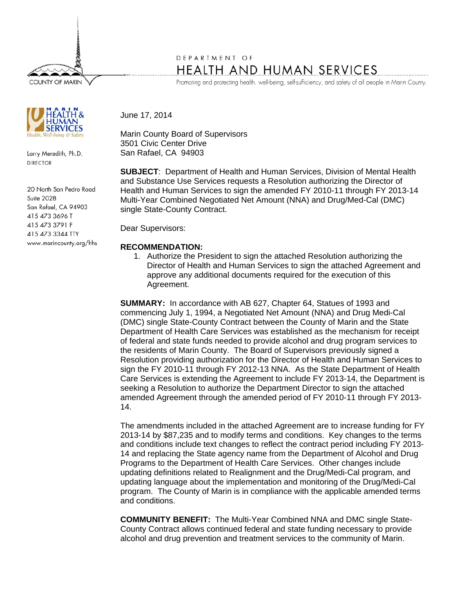**COUNTY OF MARIN** 

Larry Meredith, Ph.D. **DIRECTOR** 

20 North San Pedro Road **Suite 2028** San Rafael, CA 94903 415 473 3696 T 415 473 3791 F 415 473 3344 TTY www.marincounty.org/hhs

## DEPARTMENT OF **HEALTH AND HUMAN SERVICES**

Promoting and protecting health, well-being, self-sufficiency, and safety of all people in Marin County.

June 17, 2014

Marin County Board of Supervisors 3501 Civic Center Drive San Rafael, CA 94903

**SUBJECT**: Department of Health and Human Services, Division of Mental Health and Substance Use Services requests a Resolution authorizing the Director of Health and Human Services to sign the amended FY 2010-11 through FY 2013-14 Multi-Year Combined Negotiated Net Amount (NNA) and Drug/Med-Cal (DMC) single State-County Contract.

Dear Supervisors:

## **RECOMMENDATION:**

1. Authorize the President to sign the attached Resolution authorizing the Director of Health and Human Services to sign the attached Agreement and approve any additional documents required for the execution of this Agreement.

**SUMMARY:** In accordance with AB 627, Chapter 64, Statues of 1993 and commencing July 1, 1994, a Negotiated Net Amount (NNA) and Drug Medi-Cal (DMC) single State-County Contract between the County of Marin and the State Department of Health Care Services was established as the mechanism for receipt of federal and state funds needed to provide alcohol and drug program services to the residents of Marin County. The Board of Supervisors previously signed a Resolution providing authorization for the Director of Health and Human Services to sign the FY 2010-11 through FY 2012-13 NNA. As the State Department of Health Care Services is extending the Agreement to include FY 2013-14, the Department is seeking a Resolution to authorize the Department Director to sign the attached amended Agreement through the amended period of FY 2010-11 through FY 2013- 14.

The amendments included in the attached Agreement are to increase funding for FY 2013-14 by \$87,235 and to modify terms and conditions. Key changes to the terms and conditions include text changes to reflect the contract period including FY 2013- 14 and replacing the State agency name from the Department of Alcohol and Drug Programs to the Department of Health Care Services. Other changes include updating definitions related to Realignment and the Drug/Medi-Cal program, and updating language about the implementation and monitoring of the Drug/Medi-Cal program. The County of Marin is in compliance with the applicable amended terms and conditions.

**COMMUNITY BENEFIT:** The Multi-Year Combined NNA and DMC single State-County Contract allows continued federal and state funding necessary to provide alcohol and drug prevention and treatment services to the community of Marin.